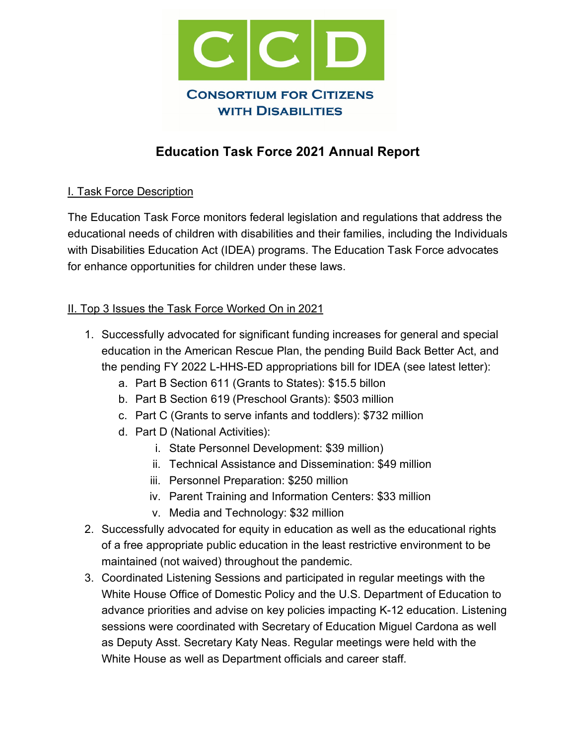

# **Education Task Force 2021 Annual Report**

# I. Task Force Description

The Education Task Force monitors federal legislation and regulations that address the educational needs of children with disabilities and their families, including the Individuals with Disabilities Education Act (IDEA) programs. The Education Task Force advocates for enhance opportunities for children under these laws.

#### II. Top 3 Issues the Task Force Worked On in 2021

- 1. Successfully advocated for significant funding increases for general and special education in the American Rescue Plan, the pending Build Back Better Act, and the pending FY 2022 L-HHS-ED appropriations bill for IDEA (see latest letter):
	- a. Part B Section 611 (Grants to States): \$15.5 billon
	- b. Part B Section 619 (Preschool Grants): \$503 million
	- c. Part C (Grants to serve infants and toddlers): \$732 million
	- d. Part D (National Activities):
		- i. State Personnel Development: \$39 million)
		- ii. Technical Assistance and Dissemination: \$49 million
		- iii. Personnel Preparation: \$250 million
		- iv. Parent Training and Information Centers: \$33 million
		- v. Media and Technology: \$32 million
- 2. Successfully advocated for equity in education as well as the educational rights of a free appropriate public education in the least restrictive environment to be maintained (not waived) throughout the pandemic.
- 3. Coordinated Listening Sessions and participated in regular meetings with the White House Office of Domestic Policy and the U.S. Department of Education to advance priorities and advise on key policies impacting K-12 education. Listening sessions were coordinated with Secretary of Education Miguel Cardona as well as Deputy Asst. Secretary Katy Neas. Regular meetings were held with the White House as well as Department officials and career staff.